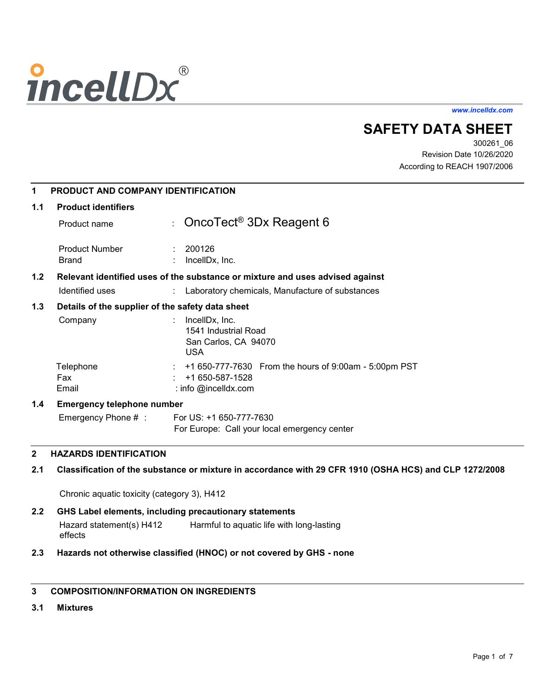# **incellDx**®

*www.incelldx.com*

# **SAFETY DATA SHEET**

300261\_06 Revision Date 10/26/2020 According to REACH 1907/2006

| 1   | <b>PRODUCT AND COMPANY IDENTIFICATION</b>        |                                                                               |
|-----|--------------------------------------------------|-------------------------------------------------------------------------------|
| 1.1 | <b>Product identifiers</b>                       |                                                                               |
|     | Product name                                     | : OncoTect <sup>®</sup> 3Dx Reagent 6                                         |
|     | <b>Product Number</b><br><b>Brand</b>            | : 200126<br>IncellDx, Inc.                                                    |
| 1.2 |                                                  | Relevant identified uses of the substance or mixture and uses advised against |
|     | Identified uses                                  | Laboratory chemicals, Manufacture of substances                               |
| 1.3 | Details of the supplier of the safety data sheet |                                                                               |
|     | Company                                          | IncellDx, Inc.<br>1541 Industrial Road<br>San Carlos, CA 94070<br><b>USA</b>  |
|     | Telephone                                        | +1 650-777-7630 From the hours of 9:00am - 5:00pm PST                         |
|     | Fax                                              | +1 650-587-1528                                                               |
|     | Email                                            | : info $@$ incelldx.com                                                       |
| 1.4 | <b>Emergency telephone number</b>                |                                                                               |
|     | Emergency Phone $#$ :                            | For US: +1 650-777-7630                                                       |
|     |                                                  | For Europe: Call your local emergency center                                  |

# **2 HAZARDS IDENTIFICATION**

# **2.1 Classification of the substance or mixture in accordance with 29 CFR 1910 (OSHA HCS) and CLP 1272/2008**

Chronic aquatic toxicity (category 3), H412

- **2.2 GHS Label elements, including precautionary statements**  Hazard statement(s) H412 Harmful to aquatic life with long-lasting effects
- **2.3 Hazards not otherwise classified (HNOC) or not covered by GHS - none**

# **3 COMPOSITION/INFORMATION ON INGREDIENTS**

**3.1 Mixtures**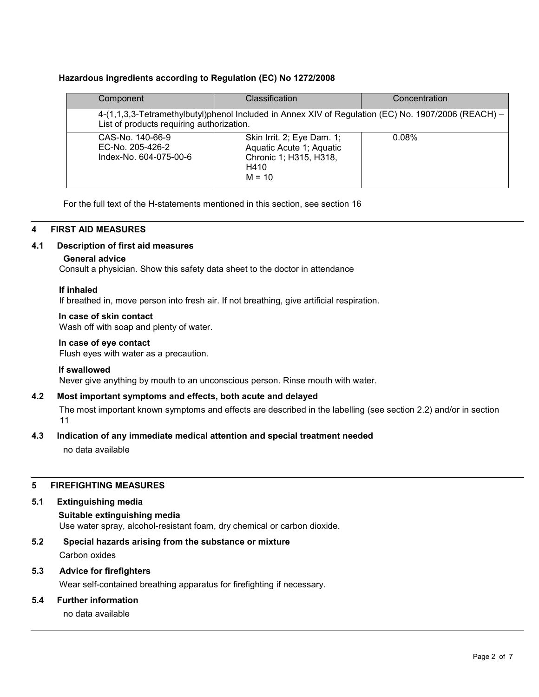# **Hazardous ingredients according to Regulation (EC) No 1272/2008**

| Component                                                      | Classification                                                                                       | Concentration |
|----------------------------------------------------------------|------------------------------------------------------------------------------------------------------|---------------|
| List of products requiring authorization.                      | 4-(1,1,3,3-Tetramethylbutyl)phenol Included in Annex XIV of Regulation (EC) No. 1907/2006 (REACH) -  |               |
| CAS-No. 140-66-9<br>EC-No. 205-426-2<br>Index-No. 604-075-00-6 | Skin Irrit. 2; Eye Dam. 1;<br>Aquatic Acute 1; Aquatic<br>Chronic 1; H315, H318,<br>H410<br>$M = 10$ | 0.08%         |

For the full text of the H-statements mentioned in this section, see section 16

# **4 FIRST AID MEASURES**

# **4.1 Description of first aid measures**

# **General advice**

Consult a physician. Show this safety data sheet to the doctor in attendance

# **If inhaled**

If breathed in, move person into fresh air. If not breathing, give artificial respiration.

# **In case of skin contact**

Wash off with soap and plenty of water.

# **In case of eye contact**

Flush eyes with water as a precaution.

#### **If swallowed**

Never give anything by mouth to an unconscious person. Rinse mouth with water.

# **4.2 Most important symptoms and effects, both acute and delayed**

The most important known symptoms and effects are described in the labelling (see section 2.2) and/or in section 11

# **4.3 Indication of any immediate medical attention and special treatment needed**

no data available

# **5 FIREFIGHTING MEASURES**

#### **5.1 Extinguishing media**

**Suitable extinguishing media**  Use water spray, alcohol-resistant foam, dry chemical or carbon dioxide.

#### **5.2 Special hazards arising from the substance or mixture**

Carbon oxides

# **5.3 Advice for firefighters**

Wear self-contained breathing apparatus for firefighting if necessary.

# **5.4 Further information**

no data available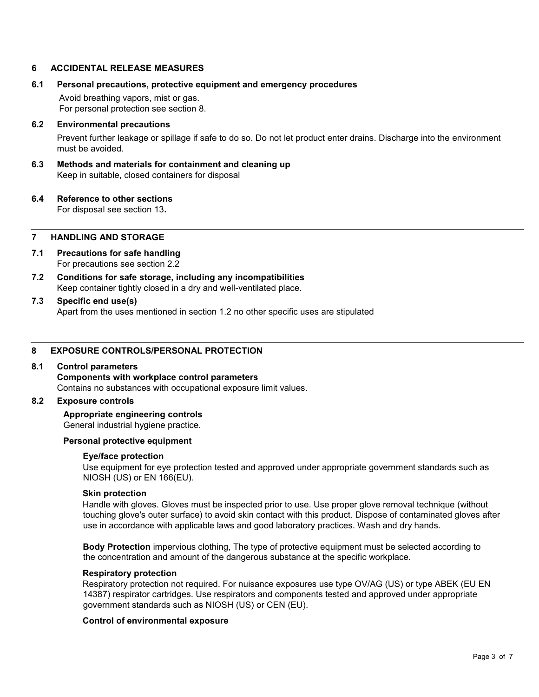#### **6 ACCIDENTAL RELEASE MEASURES**

#### **6.1 Personal precautions, protective equipment and emergency procedures**

Avoid breathing vapors, mist or gas. For personal protection see section 8.

#### **6.2 Environmental precautions**

Prevent further leakage or spillage if safe to do so. Do not let product enter drains. Discharge into the environment must be avoided.

#### **6.3 Methods and materials for containment and cleaning up**  Keep in suitable, closed containers for disposal

#### **6.4 Reference to other sections**

For disposal see section 13**.** 

#### **7 HANDLING AND STORAGE**

- **7.1 Precautions for safe handling**  For precautions see section 2.2
- **7.2 Conditions for safe storage, including any incompatibilities**  Keep container tightly closed in a dry and well-ventilated place.

#### **7.3 Specific end use(s)**  Apart from the uses mentioned in section 1.2 no other specific uses are stipulated

#### **8 EXPOSURE CONTROLS/PERSONAL PROTECTION**

#### **8.1 Control parameters**

**Components with workplace control parameters**  Contains no substances with occupational exposure limit values.

#### **8.2 Exposure controls**

#### **Appropriate engineering controls**

General industrial hygiene practice.

#### **Personal protective equipment**

#### **Eye/face protection**

Use equipment for eye protection tested and approved under appropriate government standards such as NIOSH (US) or EN 166(EU).

#### **Skin protection**

Handle with gloves. Gloves must be inspected prior to use. Use proper glove removal technique (without touching glove's outer surface) to avoid skin contact with this product. Dispose of contaminated gloves after use in accordance with applicable laws and good laboratory practices. Wash and dry hands.

**Body Protection** impervious clothing, The type of protective equipment must be selected according to the concentration and amount of the dangerous substance at the specific workplace.

#### **Respiratory protection**

Respiratory protection not required. For nuisance exposures use type OV/AG (US) or type ABEK (EU EN 14387) respirator cartridges. Use respirators and components tested and approved under appropriate government standards such as NIOSH (US) or CEN (EU).

#### **Control of environmental exposure**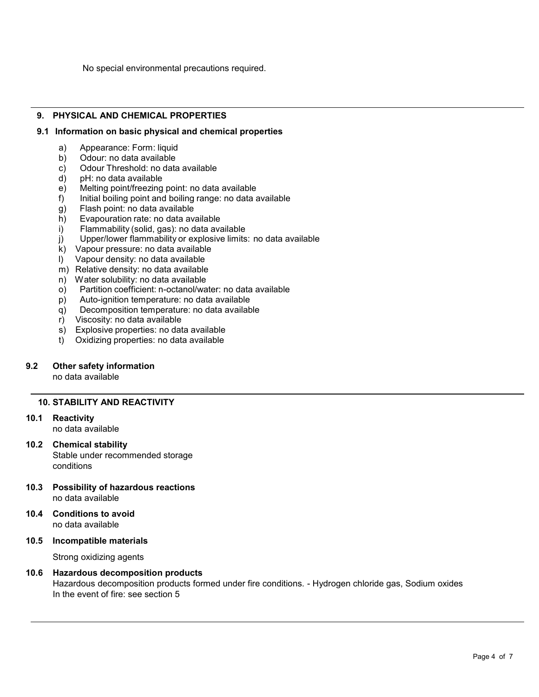No special environmental precautions required.

# **9. PHYSICAL AND CHEMICAL PROPERTIES**

#### **9.1 Information on basic physical and chemical properties**

- a) Appearance: Form: liquid
- b) Odour: no data available<br>c) Odour Threshold: no data
- c) Odour Threshold: no data available
- d) pH: no data available<br>e) Melting point/freezing
- e) Melting point/freezing point: no data available<br>f) Initial boiling point and boiling range: no data a
- Initial boiling point and boiling range: no data available
- g) Flash point: no data available<br>h) Evapouration rate: no data ava
- h) Evapouration rate: no data available<br>i) Flammability (solid, gas): no data ava
- Flammability (solid, gas): no data available
- j) Upper/lower flammability or explosive limits: no data available
- k) Vapour pressure: no data available
- l) Vapour density: no data available
- m) Relative density: no data available
- n) Water solubility: no data available
- o) Partition coefficient: n-octanol/water: no data available
- p) Auto-ignition temperature: no data available
- q) Decomposition temperature: no data available<br>r) Viscosity: no data available
- Viscosity: no data available
- s) Explosive properties: no data available
- t) Oxidizing properties: no data available

# **9.2 Other safety information**

no data available

#### **10. STABILITY AND REACTIVITY**

**10.1 Reactivity** 

no data available

#### **10.2 Chemical stability**

Stable under recommended storage conditions

- **10.3 Possibility of hazardous reactions**  no data available
- **10.4 Conditions to avoid**  no data available
- **10.5 Incompatible materials**

Strong oxidizing agents

#### **10.6 Hazardous decomposition products**

Hazardous decomposition products formed under fire conditions. - Hydrogen chloride gas, Sodium oxides In the event of fire: see section 5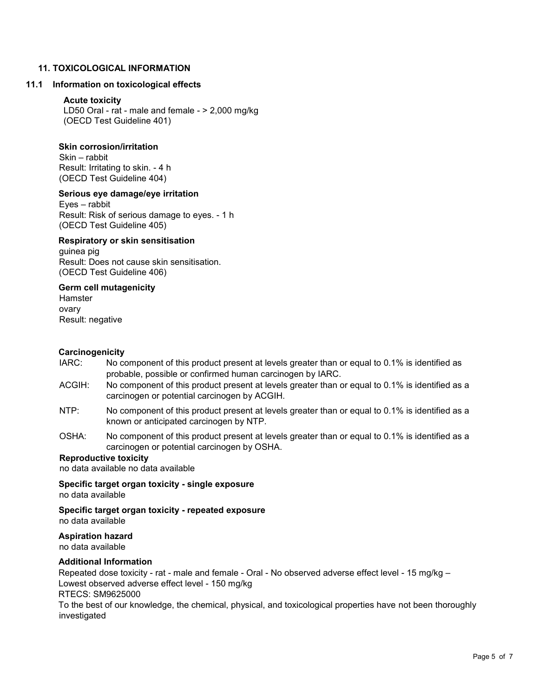# **11. TOXICOLOGICAL INFORMATION**

#### **11.1 Information on toxicological effects**

# **Acute toxicity**

LD50 Oral - rat - male and female - > 2,000 mg/kg (OECD Test Guideline 401)

#### **Skin corrosion/irritation**

Skin – rabbit Result: Irritating to skin. - 4 h (OECD Test Guideline 404)

#### **Serious eye damage/eye irritation**

Eyes – rabbit Result: Risk of serious damage to eyes. - 1 h (OECD Test Guideline 405)

#### **Respiratory or skin sensitisation**

guinea pig Result: Does not cause skin sensitisation. (OECD Test Guideline 406)

#### **Germ cell mutagenicity**

Hamster ovary Result: negative

#### **Carcinogenicity**

- IARC: No component of this product present at levels greater than or equal to 0.1% is identified as probable, possible or confirmed human carcinogen by IARC.
- ACGIH: No component of this product present at levels greater than or equal to 0.1% is identified as a carcinogen or potential carcinogen by ACGIH.
- NTP: No component of this product present at levels greater than or equal to 0.1% is identified as a known or anticipated carcinogen by NTP.
- OSHA: No component of this product present at levels greater than or equal to 0.1% is identified as a carcinogen or potential carcinogen by OSHA.

# **Reproductive toxicity**

no data available no data available

**Specific target organ toxicity - single exposure** no data available

**Specific target organ toxicity - repeated exposure**  no data available

# **Aspiration hazard**

no data available

# **Additional Information**

Repeated dose toxicity - rat - male and female - Oral - No observed adverse effect level - 15 mg/kg – Lowest observed adverse effect level - 150 mg/kg RTECS: SM9625000 To the best of our knowledge, the chemical, physical, and toxicological properties have not been thoroughly

investigated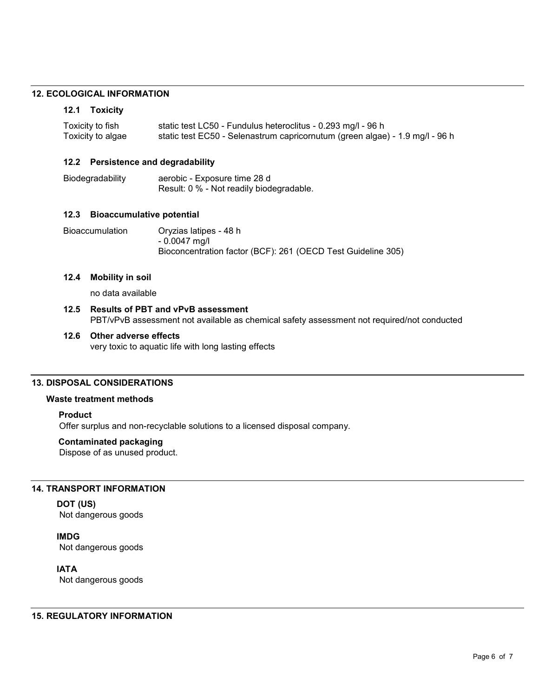#### **12. ECOLOGICAL INFORMATION**

#### **12.1 Toxicity**

| Toxicity to fish  | static test LC50 - Fundulus heteroclitus - 0.293 mg/l - 96 h                 |
|-------------------|------------------------------------------------------------------------------|
| Toxicity to algae | static test EC50 - Selenastrum capricornutum (green algae) - 1.9 mg/l - 96 h |

#### **12.2 Persistence and degradability**

Biodegradability aerobic - Exposure time 28 d Result: 0 % - Not readily biodegradable.

#### **12.3 Bioaccumulative potential**

Bioaccumulation Oryzias latipes - 48 h - 0.0047 mg/l Bioconcentration factor (BCF): 261 (OECD Test Guideline 305)

#### **12.4 Mobility in soil**

no data available

#### **12.5 Results of PBT and vPvB assessment** PBT/vPvB assessment not available as chemical safety assessment not required/not conducted

#### **12.6 Other adverse effects**  very toxic to aquatic life with long lasting effects

#### **13. DISPOSAL CONSIDERATIONS**

#### **Waste treatment methods**

#### **Product**

Offer surplus and non-recyclable solutions to a licensed disposal company.

#### **Contaminated packaging**

Dispose of as unused product.

#### **14. TRANSPORT INFORMATION**

**DOT (US)** Not dangerous goods

#### **IMDG**

Not dangerous goods

# **IATA**

Not dangerous goods

#### **15. REGULATORY INFORMATION**